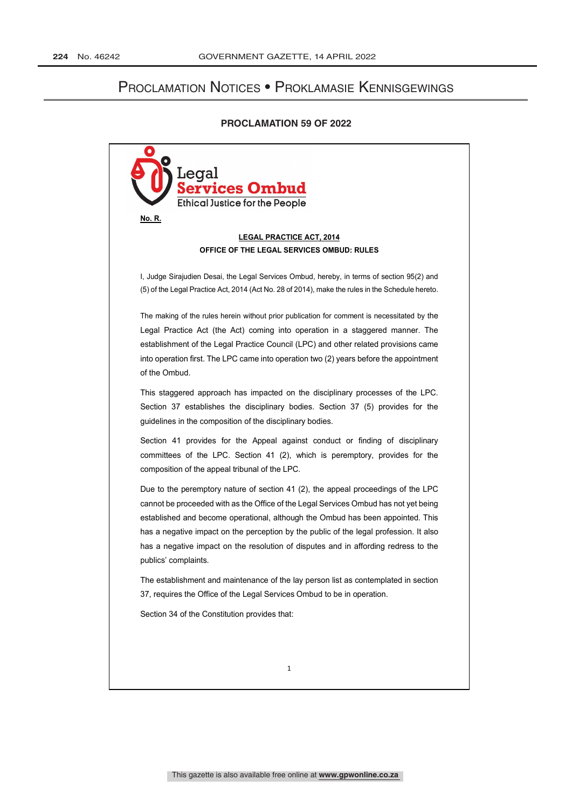# Proclamation Notices • Proklamasie Kennisgewings

# **PROCLAMATION 59 OF 2022**

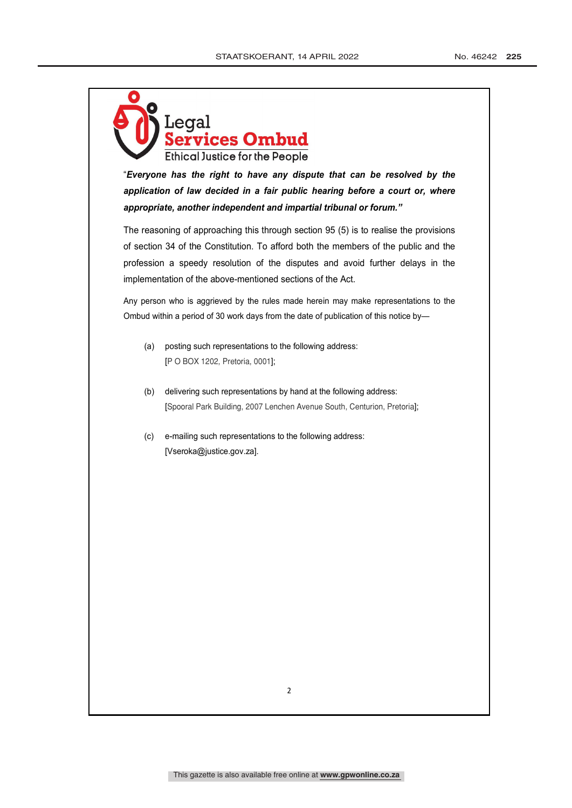

"*Everyone has the right to have any dispute that can be resolved by the*  application of law decided in a fair public hearing before a court or, where *appropriate, another independent and impartial tribunal or forum."*

The reasoning of approaching this through section 95 (5) is to realise the provisions of section 34 of the Constitution. To afford both the members of the public and the profession a speedy resolution of the disputes and avoid further delays in the implementation of the above-mentioned sections of the Act.

Any person who is aggrieved by the rules made herein may make representations to the Ombud within a period of 30 work days from the date of publication of this notice by—

- (a) posting such representations to the following address: [P O BOX 1202, Pretoria, 0001];
- (b) delivering such representations by hand at the following address: [Spooral Park Building, 2007 Lenchen Avenue South, Centurion, Pretoria];
- (c) e-mailing such representations to the following address: [Vseroka@justice.gov.za].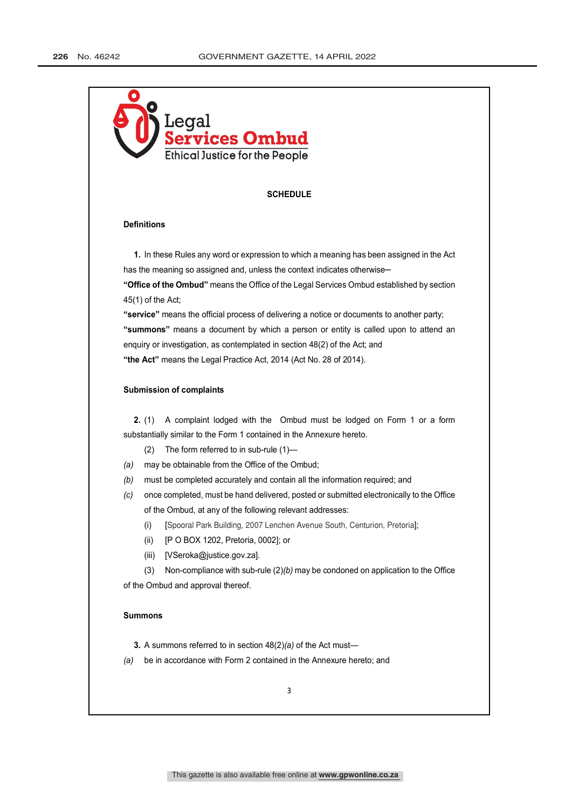

### **SCHEDULE**

#### **Definitions**

**1.** In these Rules any word or expression to which a meaning has been assigned in the Act has the meaning so assigned and, unless the context indicates otherwise -**"Office of the Ombud"** means the Office of the Legal Services Ombud established by section

45(1) of the Act; **"service"** means the official process of delivering a notice or documents to another party; **"summons"** means a document by which a person or entity is called upon to attend an enquiry or investigation, as contemplated in section 48(2) of the Act; and

**"the Act"** means the Legal Practice Act, 2014 (Act No. 28 of 2014).

### **Submission of complaints**

**2.** (1) A complaint lodged with the Ombud must be lodged on Form 1 or a form substantially similar to the Form 1 contained in the Annexure hereto.

- (2) The form referred to in sub-rule (1)—
- *(a)* may be obtainable from the Office of the Ombud;
- *(b)* must be completed accurately and contain all the information required; and
- *(c)* once completed, must be hand delivered, posted or submitted electronically to the Office of the Ombud, at any of the following relevant addresses:
	- (i) [Spooral Park Building, 2007 Lenchen Avenue South, Centurion, Pretoria];
	- (ii) [P O BOX 1202, Pretoria, 0002]; or
	- (iii) [VSeroka@justice.gov.za].

(3) Non-compliance with sub-rule (2)*(b)* may be condoned on application to the Office of the Ombud and approval thereof.

## **Summons**

**3.** A summons referred to in section 48(2)*(a)* of the Act must—

*(a)* be in accordance with Form 2 contained in the Annexure hereto; and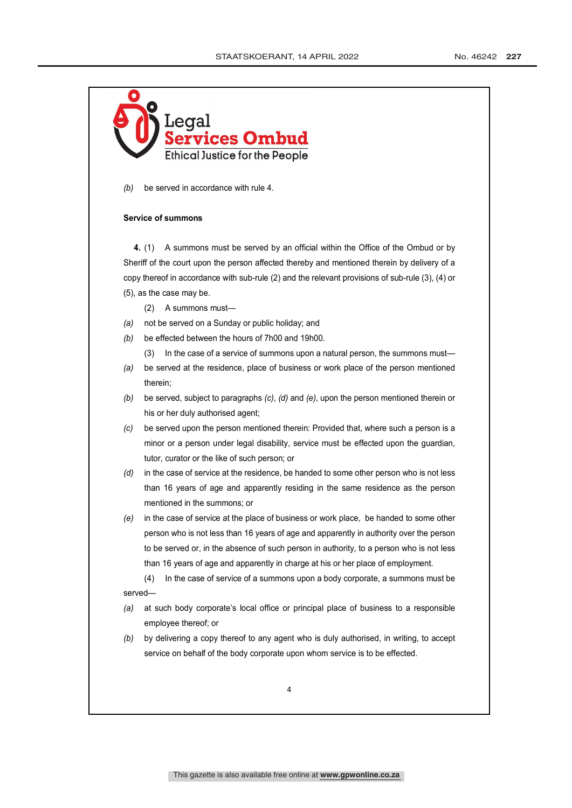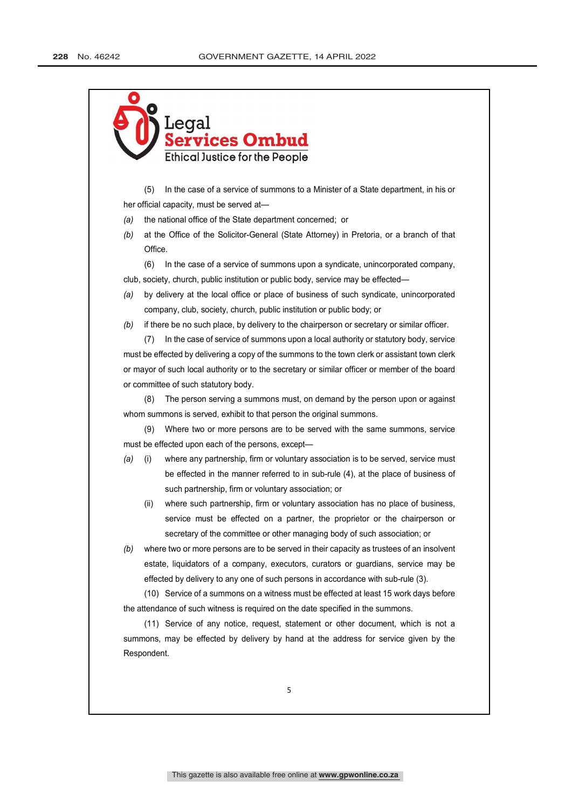

(5) In the case of a service of summons to a Minister of a State department, in his or her official capacity, must be served at—

- *(a)* the national office of the State department concerned; or
- *(b)* at the Office of the Solicitor-General (State Attorney) in Pretoria, or a branch of that Office.

(6) In the case of a service of summons upon a syndicate, unincorporated company, club, society, church, public institution or public body, service may be effected—

- *(a)* by delivery at the local office or place of business of such syndicate, unincorporated company, club, society, church, public institution or public body; or
- *(b)* if there be no such place, by delivery to the chairperson or secretary or similar officer.

(7) In the case of service of summons upon a local authority or statutory body, service must be effected by delivering a copy of the summons to the town clerk or assistant town clerk or mayor of such local authority or to the secretary or similar officer or member of the board or committee of such statutory body.

(8) The person serving a summons must, on demand by the person upon or against whom summons is served, exhibit to that person the original summons.

(9) Where two or more persons are to be served with the same summons, service must be effected upon each of the persons, except—

- *(a)* (i) where any partnership, firm or voluntary association is to be served, service must be effected in the manner referred to in sub-rule (4), at the place of business of such partnership, firm or voluntary association; or
	- (ii) where such partnership, firm or voluntary association has no place of business, service must be effected on a partner, the proprietor or the chairperson or secretary of the committee or other managing body of such association; or
- *(b)* where two or more persons are to be served in their capacity as trustees of an insolvent estate, liquidators of a company, executors, curators or guardians, service may be effected by delivery to any one of such persons in accordance with sub-rule (3).

(10) Service of a summons on a witness must be effected at least 15 work days before the attendance of such witness is required on the date specified in the summons.

(11) Service of any notice, request, statement or other document, which is not a summons, may be effected by delivery by hand at the address for service given by the Respondent.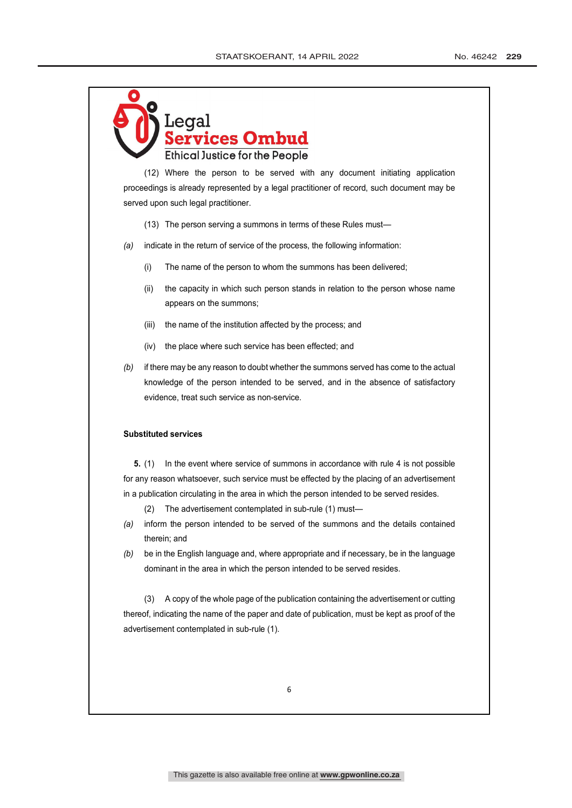

(12) Where the person to be served with any document initiating application proceedings is already represented by a legal practitioner of record, such document may be served upon such legal practitioner.

(13) The person serving a summons in terms of these Rules must—

- *(a)* indicate in the return of service of the process, the following information:
	- (i) The name of the person to whom the summons has been delivered;
	- (ii) the capacity in which such person stands in relation to the person whose name appears on the summons;
	- (iii) the name of the institution affected by the process; and
	- (iv) the place where such service has been effected; and
- *(b)* if there may be any reason to doubt whether the summons served has come to the actual knowledge of the person intended to be served, and in the absence of satisfactory evidence, treat such service as non-service.

#### **Substituted services**

**5.** (1) In the event where service of summons in accordance with rule 4 is not possible for any reason whatsoever, such service must be effected by the placing of an advertisement in a publication circulating in the area in which the person intended to be served resides.

- (2) The advertisement contemplated in sub-rule (1) must—
- *(a)* inform the person intended to be served of the summons and the details contained therein; and
- *(b)* be in the English language and, where appropriate and if necessary, be in the language dominant in the area in which the person intended to be served resides.

(3) A copy of the whole page of the publication containing the advertisement or cutting thereof, indicating the name of the paper and date of publication, must be kept as proof of the advertisement contemplated in sub-rule (1).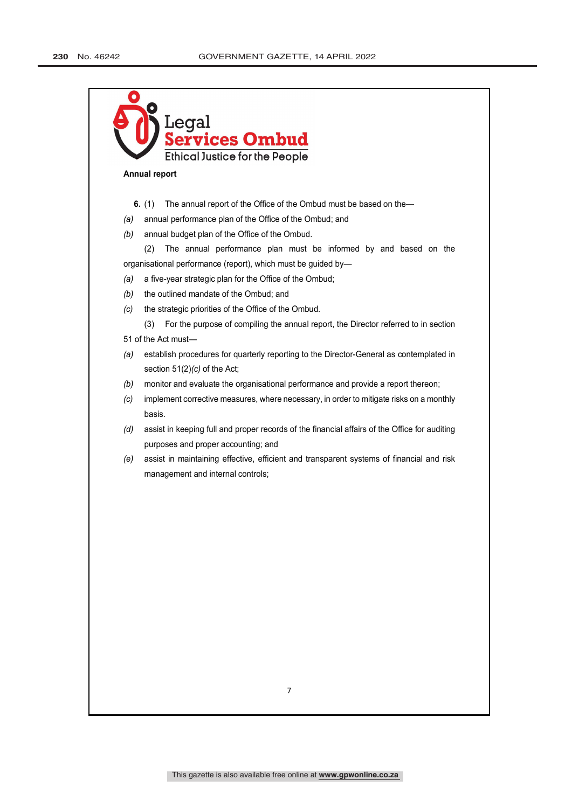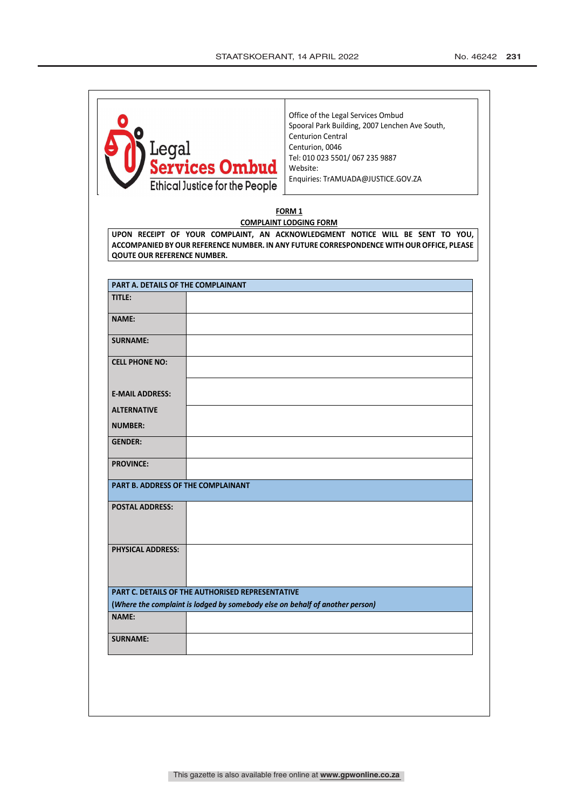| Legal<br><mark>Services Ombud</mark><br>Ethical Justice for the People                                                                  | Office of the Legal Services Ombud<br>Spooral Park Building, 2007 Lenchen Ave South,<br><b>Centurion Central</b><br>Centurion, 0046<br>Tel: 010 023 5501/ 067 235 9887<br>Website:<br>Enquiries: TrAMUADA@JUSTICE.GOV.ZA |
|-----------------------------------------------------------------------------------------------------------------------------------------|--------------------------------------------------------------------------------------------------------------------------------------------------------------------------------------------------------------------------|
|                                                                                                                                         | FORM 1                                                                                                                                                                                                                   |
| <b>QOUTE OUR REFERENCE NUMBER.</b>                                                                                                      | <b>COMPLAINT LODGING FORM</b><br>UPON RECEIPT OF YOUR COMPLAINT, AN ACKNOWLEDGMENT NOTICE WILL BE SENT TO YOU,<br>ACCOMPANIED BY OUR REFERENCE NUMBER. IN ANY FUTURE CORRESPONDENCE WITH OUR OFFICE, PLEASE              |
| PART A. DETAILS OF THE COMPLAINANT                                                                                                      |                                                                                                                                                                                                                          |
| TITLE:                                                                                                                                  |                                                                                                                                                                                                                          |
| <b>NAME:</b>                                                                                                                            |                                                                                                                                                                                                                          |
| <b>SURNAME:</b>                                                                                                                         |                                                                                                                                                                                                                          |
| <b>CELL PHONE NO:</b>                                                                                                                   |                                                                                                                                                                                                                          |
| <b>E-MAIL ADDRESS:</b>                                                                                                                  |                                                                                                                                                                                                                          |
| <b>ALTERNATIVE</b><br><b>NUMBER:</b>                                                                                                    |                                                                                                                                                                                                                          |
| <b>GENDER:</b>                                                                                                                          |                                                                                                                                                                                                                          |
| <b>PROVINCE:</b>                                                                                                                        |                                                                                                                                                                                                                          |
| PART B. ADDRESS OF THE COMPLAINANT                                                                                                      |                                                                                                                                                                                                                          |
| <b>POSTAL ADDRESS:</b>                                                                                                                  |                                                                                                                                                                                                                          |
| <b>PHYSICAL ADDRESS:</b>                                                                                                                |                                                                                                                                                                                                                          |
| <b>PART C. DETAILS OF THE AUTHORISED REPRESENTATIVE</b><br>(Where the complaint is lodged by somebody else on behalf of another person) |                                                                                                                                                                                                                          |
| <b>NAME:</b>                                                                                                                            |                                                                                                                                                                                                                          |
| <b>SURNAME:</b>                                                                                                                         |                                                                                                                                                                                                                          |
|                                                                                                                                         |                                                                                                                                                                                                                          |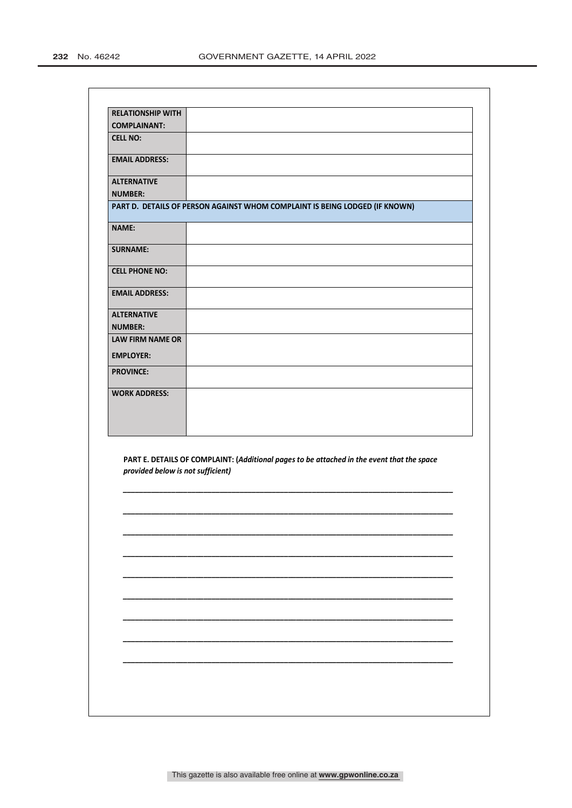| <b>RELATIONSHIP WITH</b> |                                                                             |
|--------------------------|-----------------------------------------------------------------------------|
| <b>COMPLAINANT:</b>      |                                                                             |
| <b>CELL NO:</b>          |                                                                             |
| <b>EMAIL ADDRESS:</b>    |                                                                             |
| <b>ALTERNATIVE</b>       |                                                                             |
| <b>NUMBER:</b>           |                                                                             |
|                          | PART D. DETAILS OF PERSON AGAINST WHOM COMPLAINT IS BEING LODGED (IF KNOWN) |
| <b>NAME:</b>             |                                                                             |
| <b>SURNAME:</b>          |                                                                             |
| <b>CELL PHONE NO:</b>    |                                                                             |
| <b>EMAIL ADDRESS:</b>    |                                                                             |
| <b>ALTERNATIVE</b>       |                                                                             |
| <b>NUMBER:</b>           |                                                                             |
| <b>LAW FIRM NAME OR</b>  |                                                                             |
| <b>EMPLOYER:</b>         |                                                                             |
| <b>PROVINCE:</b>         |                                                                             |
| <b>WORK ADDRESS:</b>     |                                                                             |
|                          |                                                                             |
|                          |                                                                             |
|                          |                                                                             |

**PART E. DETAILS OF COMPLAINT: (***Additional pages to be attached in the event that the space provided below is not sufficient)*

*\_\_\_\_\_\_\_\_\_\_\_\_\_\_\_\_\_\_\_\_\_\_\_\_\_\_\_\_\_\_\_\_\_\_\_\_\_\_\_\_\_\_\_\_\_\_\_\_\_\_\_\_\_\_\_\_\_\_\_\_\_\_\_\_\_\_\_\_\_\_\_\_\_\_\_\_\_\_\_\_\_\_*

*\_\_\_\_\_\_\_\_\_\_\_\_\_\_\_\_\_\_\_\_\_\_\_\_\_\_\_\_\_\_\_\_\_\_\_\_\_\_\_\_\_\_\_\_\_\_\_\_\_\_\_\_\_\_\_\_\_\_\_\_\_\_\_\_\_\_\_\_\_\_\_\_\_\_\_\_\_\_\_\_\_\_*

*\_\_\_\_\_\_\_\_\_\_\_\_\_\_\_\_\_\_\_\_\_\_\_\_\_\_\_\_\_\_\_\_\_\_\_\_\_\_\_\_\_\_\_\_\_\_\_\_\_\_\_\_\_\_\_\_\_\_\_\_\_\_\_\_\_\_\_\_\_\_\_\_\_\_\_\_\_\_\_\_\_\_*

*\_\_\_\_\_\_\_\_\_\_\_\_\_\_\_\_\_\_\_\_\_\_\_\_\_\_\_\_\_\_\_\_\_\_\_\_\_\_\_\_\_\_\_\_\_\_\_\_\_\_\_\_\_\_\_\_\_\_\_\_\_\_\_\_\_\_\_\_\_\_\_\_\_\_\_\_\_\_\_\_\_\_*

*\_\_\_\_\_\_\_\_\_\_\_\_\_\_\_\_\_\_\_\_\_\_\_\_\_\_\_\_\_\_\_\_\_\_\_\_\_\_\_\_\_\_\_\_\_\_\_\_\_\_\_\_\_\_\_\_\_\_\_\_\_\_\_\_\_\_\_\_\_\_\_\_\_\_\_\_\_\_\_\_\_\_*

*\_\_\_\_\_\_\_\_\_\_\_\_\_\_\_\_\_\_\_\_\_\_\_\_\_\_\_\_\_\_\_\_\_\_\_\_\_\_\_\_\_\_\_\_\_\_\_\_\_\_\_\_\_\_\_\_\_\_\_\_\_\_\_\_\_\_\_\_\_\_\_\_\_\_\_\_\_\_\_\_\_\_*

*\_\_\_\_\_\_\_\_\_\_\_\_\_\_\_\_\_\_\_\_\_\_\_\_\_\_\_\_\_\_\_\_\_\_\_\_\_\_\_\_\_\_\_\_\_\_\_\_\_\_\_\_\_\_\_\_\_\_\_\_\_\_\_\_\_\_\_\_\_\_\_\_\_\_\_\_\_\_\_\_\_\_*

*\_\_\_\_\_\_\_\_\_\_\_\_\_\_\_\_\_\_\_\_\_\_\_\_\_\_\_\_\_\_\_\_\_\_\_\_\_\_\_\_\_\_\_\_\_\_\_\_\_\_\_\_\_\_\_\_\_\_\_\_\_\_\_\_\_\_\_\_\_\_\_\_\_\_\_\_\_\_\_\_\_\_*

*\_\_\_\_\_\_\_\_\_\_\_\_\_\_\_\_\_\_\_\_\_\_\_\_\_\_\_\_\_\_\_\_\_\_\_\_\_\_\_\_\_\_\_\_\_\_\_\_\_\_\_\_\_\_\_\_\_\_\_\_\_\_\_\_\_\_\_\_\_\_\_\_\_\_\_\_\_\_\_\_\_\_*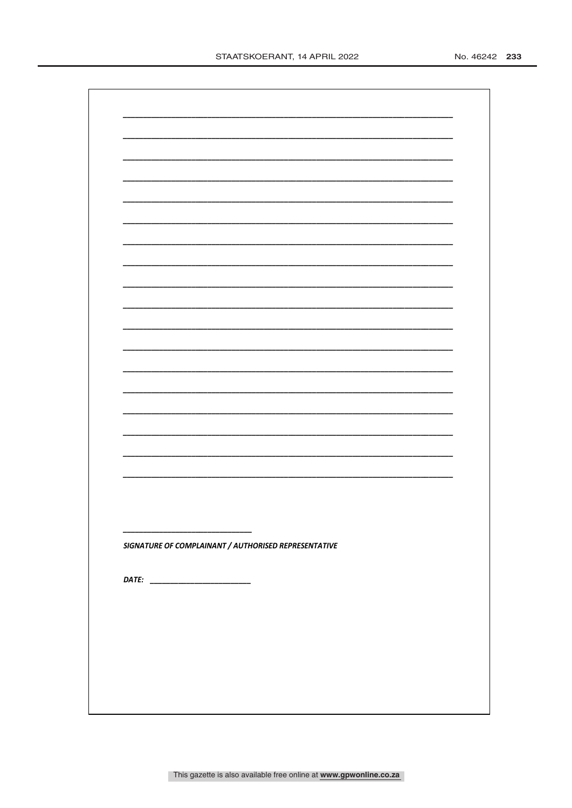| SIGNATURE OF COMPLAINANT / AUTHORISED REPRESENTATIVE |  |
|------------------------------------------------------|--|
|                                                      |  |
|                                                      |  |
|                                                      |  |
|                                                      |  |
|                                                      |  |
|                                                      |  |
|                                                      |  |
|                                                      |  |
|                                                      |  |
|                                                      |  |
|                                                      |  |
|                                                      |  |
|                                                      |  |
|                                                      |  |
|                                                      |  |
|                                                      |  |
|                                                      |  |
|                                                      |  |
|                                                      |  |
|                                                      |  |
|                                                      |  |
|                                                      |  |
|                                                      |  |
|                                                      |  |
|                                                      |  |
|                                                      |  |
|                                                      |  |
|                                                      |  |